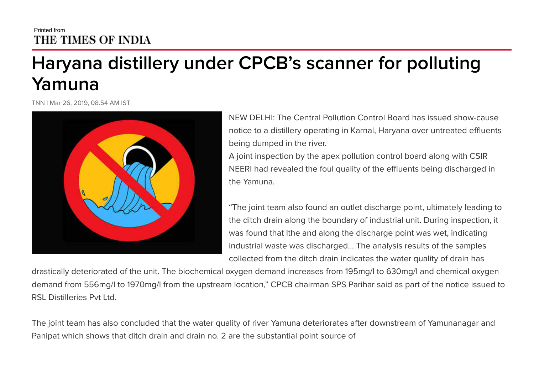## Printed from THE TIMES OF INDIA

## **Haryana distillery under CPCB's scanner for polluting Yamuna**

TNN | Mar 26, 2019, 08.54 AM IST



NEW DELHI: The Central Pollution Control Board has issued show-cause notice to a distillery operating in Karnal, Haryana over untreated effluents being dumped in the river.

A joint inspection by the apex pollution control board along with CSIR NEERI had revealed the foul quality of the effluents being discharged in the Yamuna.

"The joint team also found an outlet discharge point, ultimately leading to the ditch drain along the boundary of industrial unit. During inspection, it was found that lthe and along the discharge point was wet, indicating industrial waste was discharged… The analysis results of the samples collected from the ditch drain indicates the water quality of drain has

drastically deteriorated of the unit. The biochemical oxygen demand increases from 195mg/l to 630mg/l and chemical oxygen demand from 556mg/l to 1970mg/l from the upstream location," CPCB chairman SPS Parihar said as part of the notice issued to RSL Distilleries Pvt Ltd.

The joint team has also concluded that the water quality of river Yamuna deteriorates after downstream of Yamunanagar and Panipat which shows that ditch drain and drain no. 2 are the substantial point source of